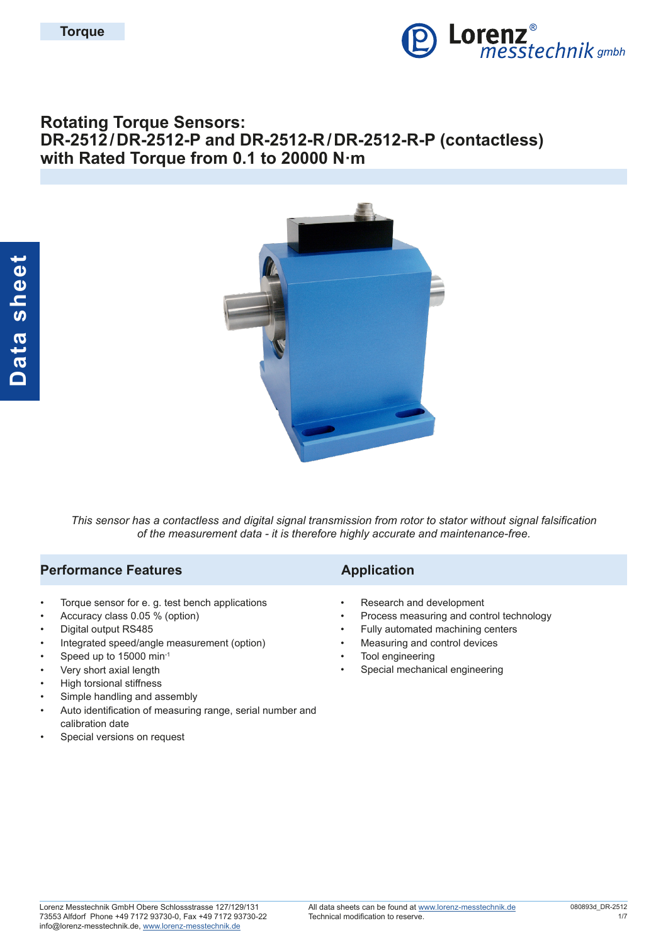

# **Rotating Torque Sensors: DR-2512/DR-2512-P and DR-2512-R/DR-2512-R-P (contactless) with Rated Torque from 0.1 to 20000 N·m**



*This sensor has a contactless and digital signal transmission from rotor to stator without signal falsification of the measurement data - it is therefore highly accurate and maintenance-free.*

## **Performance Features Application**

- Torque sensor for e. g. test bench applications
- Accuracy class 0.05 % (option)
- Digital output RS485
- Integrated speed/angle measurement (option)
- Speed up to 15000 min-1
- Very short axial length
- High torsional stiffness
- Simple handling and assembly
- Auto identification of measuring range, serial number and calibration date
- Special versions on request

- Research and development
- Process measuring and control technology
- Fully automated machining centers
- Measuring and control devices
- Tool engineering
- Special mechanical engineering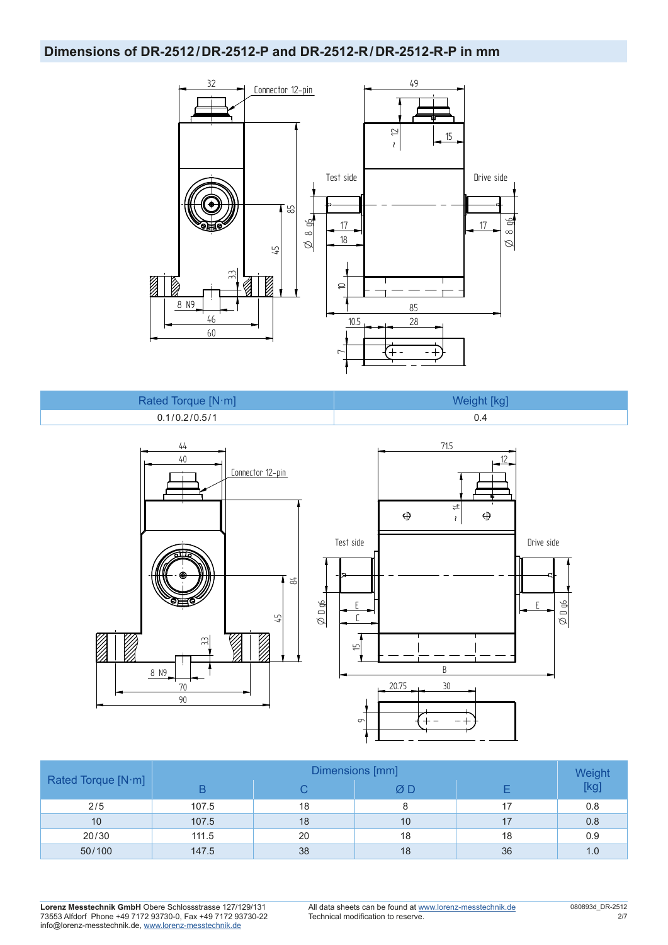### **Dimensions of DR-2512/DR-2512-P and DR-2512-R/DR-2512-R-P in mm**



| Rated Torque [N·m] | Weight [kg] |
|--------------------|-------------|
| 0.1/0.2/0.5/1      |             |



|                    | Dimensions [mm] |    |    |    |                |  |  |  |
|--------------------|-----------------|----|----|----|----------------|--|--|--|
| Rated Torque [N·m] |                 |    | ØD |    | Weight<br>[kg] |  |  |  |
| 2/5                | 107.5           | 18 |    | 17 | 0.8            |  |  |  |
| 10                 | 107.5           | 18 | 10 | 17 | 0.8            |  |  |  |
| 20/30              | 111.5           | 20 | 18 | 18 | 0.9            |  |  |  |
| 50/100             | 147.5           | 38 | 18 | 36 | 1.0            |  |  |  |

**Lorenz Messtechnik GmbH** Obere Schlossstrasse 127/129/131 73553 Alfdorf Phone +49 7172 93730-0, Fax +49 7172 93730-22 info@lorenz-messtechnik.de, [www.lorenz-messtechnik.de](https://www.lorenz-messtechnik.de)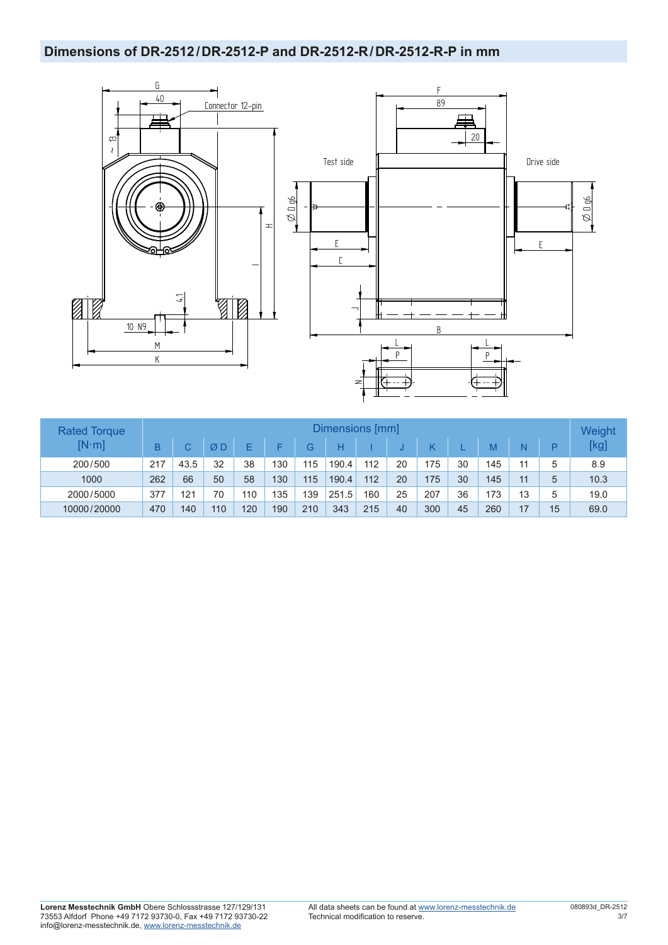# **Dimensions of DR-2512/DR-2512-P and DR-2512-R/DR-2512-R-P in mm**



| <b>Rated Torque</b> |     |      |     |     |     |     | Dimensions [mm] |     |    |     |    |     |    |    | Weight |
|---------------------|-----|------|-----|-----|-----|-----|-----------------|-----|----|-----|----|-----|----|----|--------|
| $[N\cdot m]$        | B   |      | ØΩ  | F   | E   | G.  | Н               |     |    |     |    | M   |    | Þ  | [kg]   |
| 200/500             | 217 | 43.5 | 32  | 38  | 130 | 115 | 190.4           | 112 | 20 | 175 | 30 | 145 | 11 | 5  | 8.9    |
| 1000                | 262 | 66   | 50  | 58  | 130 | 115 | 190.4           | 112 | 20 | 175 | 30 | 145 | 11 | 5  | 10.3   |
| 2000/5000           | 377 | 121  | 70  | 110 | 135 | 139 | 251.5           | 160 | 25 | 207 | 36 | 173 | 13 | 5  | 19.0   |
| 10000/20000         | 470 | 140  | 110 | 120 | 190 | 210 | 343             | 215 | 40 | 300 | 45 | 260 |    | 15 | 69.0   |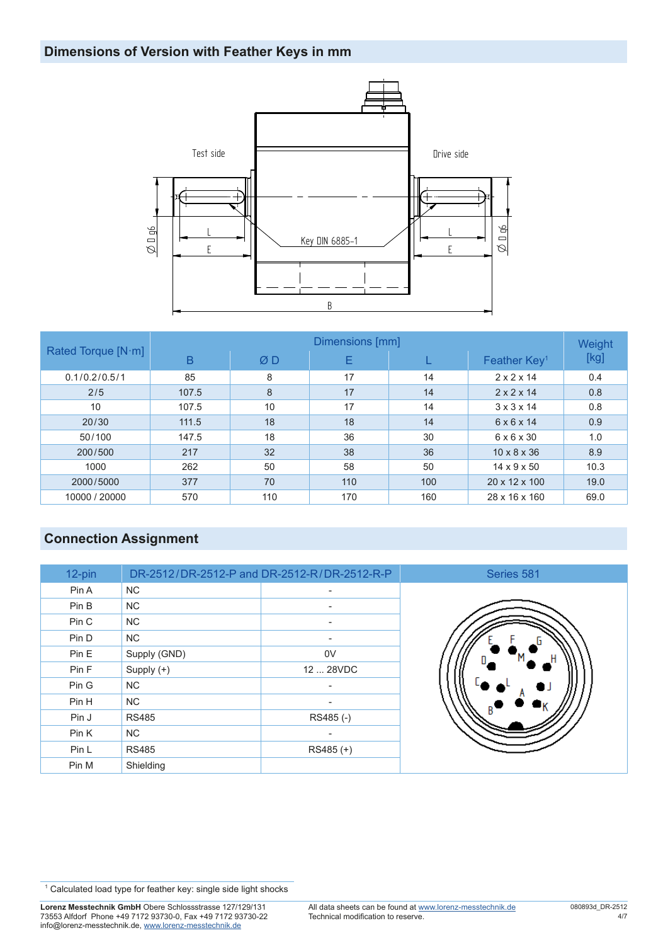# **Dimensions of Version with Feather Keys in mm**



|                            | Dimensions [mm] |     |     |     |                          |      |  |  |  |
|----------------------------|-----------------|-----|-----|-----|--------------------------|------|--|--|--|
| Rated Torque $[N \cdot m]$ | B               | ØD  | Е   |     | Feather Key <sup>1</sup> | [kg] |  |  |  |
| 0.1/0.2/0.5/1              | 85              | 8   | 17  | 14  | $2 \times 2 \times 14$   | 0.4  |  |  |  |
| 2/5                        | 107.5           | 8   | 17  | 14  | $2 \times 2 \times 14$   | 0.8  |  |  |  |
| 10                         | 107.5           | 10  | 17  | 14  | $3 \times 3 \times 14$   | 0.8  |  |  |  |
| 20/30                      | 111.5           | 18  | 18  | 14  | $6 \times 6 \times 14$   | 0.9  |  |  |  |
| 50/100                     | 147.5           | 18  | 36  | 30  | $6 \times 6 \times 30$   | 1.0  |  |  |  |
| 200/500                    | 217             | 32  | 38  | 36  | $10 \times 8 \times 36$  | 8.9  |  |  |  |
| 1000                       | 262             | 50  | 58  | 50  | $14 \times 9 \times 50$  | 10.3 |  |  |  |
| 2000/5000                  | 377             | 70  | 110 | 100 | 20 x 12 x 100            | 19.0 |  |  |  |
| 10000 / 20000              | 570             | 110 | 170 | 160 | 28 x 16 x 160            | 69.0 |  |  |  |

# **Connection Assignment**

| 12-pin |              | DR-2512/DR-2512-P and DR-2512-R/DR-2512-R-P |
|--------|--------------|---------------------------------------------|
| Pin A  | <b>NC</b>    |                                             |
| Pin B  | <b>NC</b>    |                                             |
| Pin C  | <b>NC</b>    |                                             |
| Pin D  | <b>NC</b>    | ٠                                           |
| Pin E  | Supply (GND) | 0V                                          |
| Pin F  | Supply $(+)$ | 12  28VDC                                   |
| Pin G  | <b>NC</b>    |                                             |
| Pin H  | <b>NC</b>    | ۰                                           |
| Pin J  | <b>RS485</b> | RS485 (-)                                   |
| Pin K  | <b>NC</b>    |                                             |
| Pin L  | <b>RS485</b> | $RS485 (+)$                                 |
| Pin M  | Shielding    |                                             |



<sup>&</sup>lt;sup>1</sup> Calculated load type for feather key: single side light shocks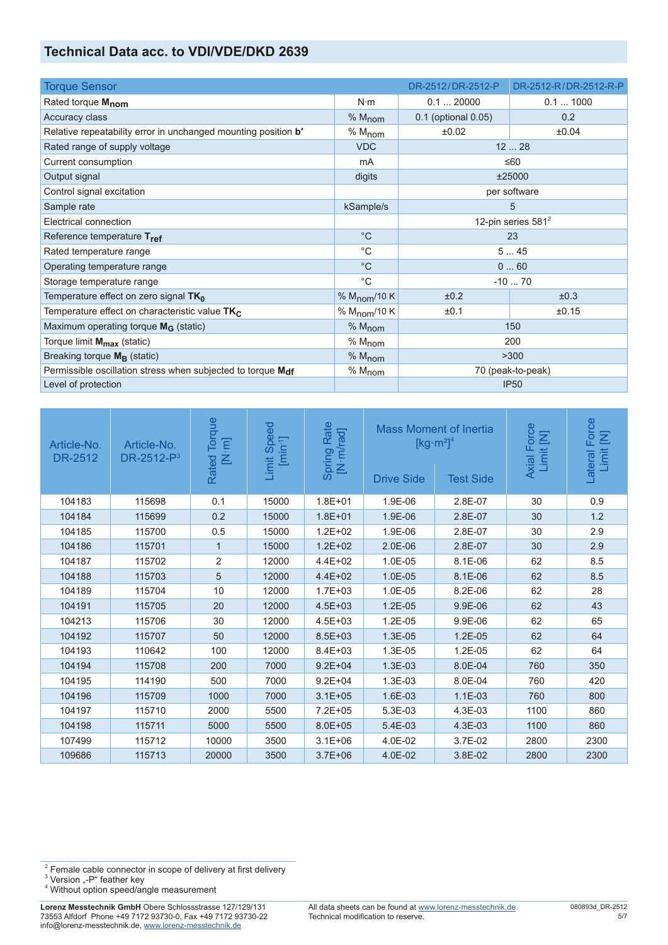### **Technical Data acc. to VDI/VDE/DKD 2639**

| <b>Torque Sensor</b>                                           |                          | DR-2512/DR-2512-P     | DR-2512-R/DR-2512-R-P |  |  |
|----------------------------------------------------------------|--------------------------|-----------------------|-----------------------|--|--|
| Rated torque M <sub>nom</sub>                                  | $N \cdot m$              | 0.120000              | 0.11000               |  |  |
| Accuracy class                                                 | % M <sub>nom</sub>       | 0.1 (optional 0.05)   | 0.2                   |  |  |
| Relative repeatability error in unchanged mounting position b' | % M <sub>nom</sub>       | ±0.02                 | ±0.04                 |  |  |
| Rated range of supply voltage                                  | <b>VDC</b>               |                       | 1228                  |  |  |
| Current consumption                                            | mA                       |                       | $\leq 60$             |  |  |
| Output signal                                                  | digits                   |                       | ±25000                |  |  |
| Control signal excitation                                      |                          | per software          |                       |  |  |
| Sample rate                                                    | 5<br>kSample/s           |                       |                       |  |  |
| Electrical connection                                          |                          | 12-pin series $581^2$ |                       |  |  |
| Reference temperature Tref                                     | $^{\circ}C$              | 23                    |                       |  |  |
| Rated temperature range                                        | $^{\circ}C$              | 545                   |                       |  |  |
| Operating temperature range                                    | $^{\circ}C$              |                       | 060                   |  |  |
| Storage temperature range                                      | $^{\circ}C$              |                       | $-1070$               |  |  |
| Temperature effect on zero signal $TK_0$                       | % $M_{\text{nom}}/10 K$  | ±0.2                  | ±0.3                  |  |  |
| Temperature effect on characteristic value $TK_C$              | % M <sub>nom</sub> /10 K | ±0.1                  | ±0.15                 |  |  |
| Maximum operating torque $M_G$ (static)                        | % M <sub>nom</sub>       | 150                   |                       |  |  |
| Torque limit M <sub>max</sub> (static)                         | % M <sub>nom</sub>       | 200                   |                       |  |  |
| Breaking torque $M_{\rm B}$ (static)                           | % M <sub>nom</sub>       | >300                  |                       |  |  |
| Permissible oscillation stress when subjected to torque Mdf    | % M <sub>nom</sub>       | 70 (peak-to-peak)     |                       |  |  |
| Level of protection                                            |                          | <b>IP50</b>           |                       |  |  |

| Article-No.<br>DR-2512 | Article-No.<br>$DR-2512-P^3$ | Torque<br>$\begin{bmatrix} \mathbf{N} \cdot \mathbf{m} \end{bmatrix}$<br>Rated | nit Speed<br>[min <sup>-1</sup> ]<br>Limit | Rate<br>[N·m/rad]<br>Spring | <b>Mass Moment of Inertia</b><br>$\left[\text{kg}\cdot\text{m}^2\right]^4$<br><b>Drive Side</b><br><b>Test Side</b> |           | Axial Force<br>Limit [N] | Force<br>Limit [N]<br>Lateral |
|------------------------|------------------------------|--------------------------------------------------------------------------------|--------------------------------------------|-----------------------------|---------------------------------------------------------------------------------------------------------------------|-----------|--------------------------|-------------------------------|
| 104183                 | 115698                       | 0.1                                                                            | 15000                                      | $1.8E + 01$                 | 1.9E-06                                                                                                             | 2.8E-07   | 30                       | 0.9                           |
| 104184                 | 115699                       | 0.2                                                                            | 15000                                      | $1.8E + 01$                 | 1.9E-06                                                                                                             | 2.8E-07   | 30                       | 1.2                           |
| 104185                 | 115700                       | 0.5                                                                            | 15000                                      | $1.2E + 02$                 | 1.9E-06                                                                                                             | 2.8E-07   | 30                       | 2.9                           |
| 104186                 | 115701                       | $\mathbf{1}$                                                                   | 15000                                      | $1.2E + 02$                 | $2.0E-06$                                                                                                           | 2.8E-07   | 30                       | 2.9                           |
| 104187                 | 115702                       | $\overline{2}$                                                                 | 12000                                      | $4.4E + 02$                 | 1.0E-05                                                                                                             | $8.1E-06$ | 62                       | 8.5                           |
| 104188                 | 115703                       | 5                                                                              | 12000                                      | $4.4E + 02$                 | 1.0E-05                                                                                                             | 8.1E-06   | 62                       | 8.5                           |
| 104189                 | 115704                       | 10                                                                             | 12000                                      | $1.7E + 03$                 | 1.0E-05                                                                                                             | 8.2E-06   | 62                       | 28                            |
| 104191                 | 115705                       | 20                                                                             | 12000                                      | $4.5E + 03$                 | $1.2E-05$                                                                                                           | 9.9E-06   | 62                       | 43                            |
| 104213                 | 115706                       | 30                                                                             | 12000                                      | $4.5E + 03$                 | 1.2E-05                                                                                                             | 9.9E-06   | 62                       | 65                            |
| 104192                 | 115707                       | 50                                                                             | 12000                                      | $8.5E + 03$                 | 1.3E-05                                                                                                             | $1.2E-05$ | 62                       | 64                            |
| 104193                 | 110642                       | 100                                                                            | 12000                                      | $8.4E + 03$                 | 1.3E-05                                                                                                             | 1.2E-05   | 62                       | 64                            |
| 104194                 | 115708                       | 200                                                                            | 7000                                       | $9.2E + 04$                 | 1.3E-03                                                                                                             | 8.0E-04   | 760                      | 350                           |
| 104195                 | 114190                       | 500                                                                            | 7000                                       | $9.2E + 04$                 | 1.3E-03                                                                                                             | 8.0E-04   | 760                      | 420                           |
| 104196                 | 115709                       | 1000                                                                           | 7000                                       | $3.1E + 05$                 | 1.6E-03                                                                                                             | $1.1E-03$ | 760                      | 800                           |
| 104197                 | 115710                       | 2000                                                                           | 5500                                       | $7.2E + 05$                 | 5.3E-03                                                                                                             | 4.3E-03   | 1100                     | 860                           |
| 104198                 | 115711                       | 5000                                                                           | 5500                                       | $8.0E + 05$                 | 5.4E-03                                                                                                             | 4.3E-03   | 1100                     | 860                           |
| 107499                 | 115712                       | 10000                                                                          | 3500                                       | $3.1E + 06$                 | 4.0E-02                                                                                                             | 3.7E-02   | 2800                     | 2300                          |
| 109686                 | 115713                       | 20000                                                                          | 3500                                       | $3.7E + 06$                 | 4.0E-02                                                                                                             | 3.8E-02   | 2800                     | 2300                          |

<sup>&</sup>lt;sup>2</sup> Female cable connector in scope of delivery at first delivery<br><sup>3</sup> Version "-P" feather key<br><sup>4</sup> Without option speed/angle measurement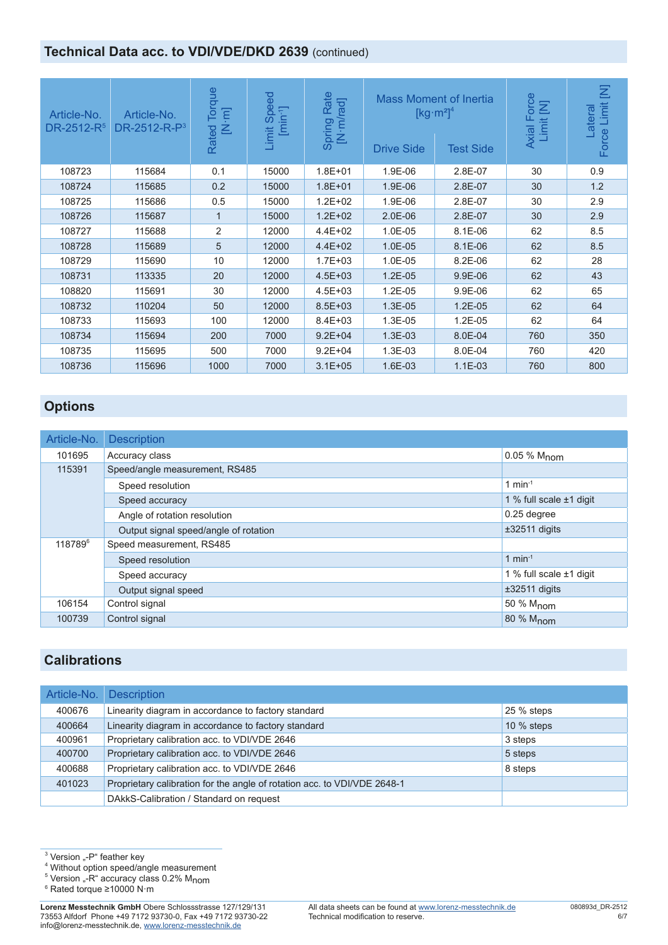# **Technical Data acc. to VDI/VDE/DKD 2639 (continued)**

| Article-No.<br>DR-2512-R <sup>5</sup> | Article-No.<br>DR-2512-R-P <sup>3</sup> | <b>Torque</b><br>$\overline{E}$<br>叾<br>Rated | $\overline{6}$<br>Sper<br>$[min^{-1}]$<br>Limit | Rate<br>[N·m/rad]<br>Spring | Mass Moment of Inertia<br>$[kg·m2]$ <sup>4</sup><br><b>Drive Side</b> | <b>Test Side</b> | orce<br>Σ<br>Axial Fo<br>Limit | 乞<br>Limit<br>ateral<br>Force |
|---------------------------------------|-----------------------------------------|-----------------------------------------------|-------------------------------------------------|-----------------------------|-----------------------------------------------------------------------|------------------|--------------------------------|-------------------------------|
| 108723                                | 115684                                  | 0.1                                           | 15000                                           | $1.8E + 01$                 | 1.9E-06                                                               | 2.8E-07          | 30                             | 0.9                           |
| 108724                                | 115685                                  | 0.2                                           | 15000                                           | $1.8E + 01$                 | 1.9E-06                                                               | 2.8E-07          | 30                             | 1.2                           |
| 108725                                | 115686                                  | 0.5                                           | 15000                                           | $1.2E + 02$                 | 1.9E-06                                                               | 2.8E-07          | 30                             | 2.9                           |
| 108726                                | 115687                                  |                                               | 15000                                           | $1.2E + 02$                 | $2.0E-06$                                                             | 2.8E-07          | 30                             | 2.9                           |
| 108727                                | 115688                                  | 2                                             | 12000                                           | $4.4E + 02$                 | 1.0E-05                                                               | 8.1E-06          | 62                             | 8.5                           |
| 108728                                | 115689                                  | 5                                             | 12000                                           | $4.4E + 02$                 | 1.0E-05                                                               | 8.1E-06          | 62                             | 8.5                           |
| 108729                                | 115690                                  | 10                                            | 12000                                           | $1.7E + 03$                 | 1.0E-05                                                               | 8.2E-06          | 62                             | 28                            |
| 108731                                | 113335                                  | 20                                            | 12000                                           | $4.5E + 03$                 | $1.2E-05$                                                             | 9.9E-06          | 62                             | 43                            |
| 108820                                | 115691                                  | 30                                            | 12000                                           | $4.5E + 03$                 | 1.2E-05                                                               | 9.9E-06          | 62                             | 65                            |
| 108732                                | 110204                                  | 50                                            | 12000                                           | $8.5E + 03$                 | 1.3E-05                                                               | $1.2E-05$        | 62                             | 64                            |
| 108733                                | 115693                                  | 100                                           | 12000                                           | $8.4E + 03$                 | 1.3E-05                                                               | 1.2E-05          | 62                             | 64                            |
| 108734                                | 115694                                  | 200                                           | 7000                                            | $9.2E + 04$                 | 1.3E-03                                                               | 8.0E-04          | 760                            | 350                           |
| 108735                                | 115695                                  | 500                                           | 7000                                            | $9.2E + 04$                 | 1.3E-03                                                               | 8.0E-04          | 760                            | 420                           |
| 108736                                | 115696                                  | 1000                                          | 7000                                            | $3.1E + 0.5$                | 1.6E-03                                                               | $1.1E-03$        | 760                            | 800                           |

# **Options**

| Article-No.         | <b>Description</b>                    |                         |  |  |  |  |
|---------------------|---------------------------------------|-------------------------|--|--|--|--|
| 101695              | Accuracy class                        | 0.05 % M <sub>nom</sub> |  |  |  |  |
| 115391              | Speed/angle measurement, RS485        |                         |  |  |  |  |
|                     | Speed resolution                      | 1 min $-1$              |  |  |  |  |
|                     | Speed accuracy                        |                         |  |  |  |  |
|                     | Angle of rotation resolution          | 0.25 degree             |  |  |  |  |
|                     | Output signal speed/angle of rotation | $±32511$ digits         |  |  |  |  |
| 118789 <sup>6</sup> | Speed measurement, RS485              |                         |  |  |  |  |
|                     | Speed resolution                      | 1 min $-1$              |  |  |  |  |
|                     | Speed accuracy                        | 1 % full scale ±1 digit |  |  |  |  |
|                     | Output signal speed                   | $±32511$ digits         |  |  |  |  |
| 106154              | Control signal                        | 50 % M <sub>nom</sub>   |  |  |  |  |
| 100739              | Control signal                        | 80 % M <sub>nom</sub>   |  |  |  |  |

#### **Calibrations**

| Article-No. | <b>Description</b>                                                       |              |
|-------------|--------------------------------------------------------------------------|--------------|
| 400676      | Linearity diagram in accordance to factory standard                      | 25 % steps   |
| 400664      | Linearity diagram in accordance to factory standard                      | 10 $%$ steps |
| 400961      | Proprietary calibration acc. to VDI/VDE 2646                             | 3 steps      |
| 400700      | Proprietary calibration acc. to VDI/VDE 2646                             | 5 steps      |
| 400688      | Proprietary calibration acc. to VDI/VDE 2646                             | 8 steps      |
| 401023      | Proprietary calibration for the angle of rotation acc. to VDI/VDE 2648-1 |              |
|             | DAkkS-Calibration / Standard on request                                  |              |

 $^3$  Version "-P" feather key

4 Without option speed/angle measurement

<sup>5</sup> Version "-R" accuracy class 0.2% M<sub>nom</sub><br>6 Rated torque >10000 N·m

Rated torque ≥10000 N·m